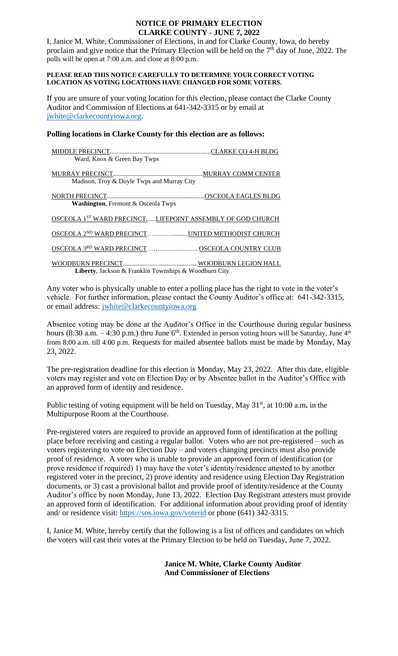## **NOTICE OF PRIMARY ELECTION CLARKE COUNTY - JUNE 7, 2022**

I, Janice M. White, Commissioner of Elections, in and for Clarke County, Iowa, do hereby proclaim and give notice that the Primary Election will be held on the  $7<sup>th</sup>$  day of June, 2022. The polls will be open at 7:00 a.m. and close at 8:00 p.m.

## **PLEASE READ THIS NOTICE CAREFULLY TO DETERMINE YOUR CORRECT VOTING LOCATION AS VOTING LOCATIONS HAVE CHANGED FOR SOME VOTERS.**

If you are unsure of your voting location for this election, please contact the Clarke County Auditor and Commission of Elections at 641-342-3315 or by email at [jwhite@clarkecountyiowa.org.](mailto:jwhite@clarkecountyiowa.org)

# **Polling locations in Clarke County for this election are as follows:**

| Ward, Knox & Green Bay Twps                                           |                     |
|-----------------------------------------------------------------------|---------------------|
|                                                                       |                     |
|                                                                       | MURRAY COMM CENTER. |
| Madison, Troy & Doyle Twps and Murray City                            |                     |
|                                                                       |                     |
|                                                                       |                     |
| <b>Washington, Fremont &amp; Osceola Twps</b>                         |                     |
|                                                                       |                     |
| OSCEOLA 1 <sup>ST</sup> WARD PRECINCTLIFEPOINT ASSEMBLY OF GOD CHURCH |                     |
| OSCEOLA 2 <sup>ND</sup> WARD PRECINCTUNITED METHODIST CHURCH          |                     |
|                                                                       |                     |
| OSCEOLA 3RD WARD PRECINCTOSCEOLA COUNTRY CLUB                         |                     |
|                                                                       |                     |
|                                                                       |                     |
| Liberty, Jackson & Franklin Townships & Woodburn City                 |                     |

Any voter who is physically unable to enter a polling place has the right to vote in the voter's vehicle. For further information, please contact the County Auditor's office at: 641-342-3315, or email address: [jwhite@clarkecountyiowa.org](mailto:jwhite@clarkecountyiowa.org)

Absentee voting may be done at the Auditor's Office in the Courthouse during regular business hours (8:30 a.m.  $-4:30$  p.m.) thru June 6<sup>th</sup>. Extended in person voting hours will be Saturday, June 4<sup>th</sup> from 8:00 a.m. till 4:00 p.m. Requests for mailed absentee ballots must be made by Monday, May 23, 2022.

The pre-registration deadline for this election is Monday, May 23, 2022. After this date, eligible voters may register and vote on Election Day or by Absentee ballot in the Auditor's Office with an approved form of identity and residence.

Public testing of voting equipment will be held on Tuesday, May 31<sup>st</sup>, at 10:00 a.m. in the Multipurpose Room at the Courthouse.

Pre-registered voters are required to provide an approved form of identification at the polling place before receiving and casting a regular ballot. Voters who are not pre-registered – such as voters registering to vote on Election Day – and voters changing precincts must also provide proof of residence. A voter who is unable to provide an approved form of identification (or prove residence if required) 1) may have the voter's identity/residence attested to by another registered voter in the precinct, 2) prove identity and residence using Election Day Registration documents, or 3) cast a provisional ballot and provide proof of identity/residence at the County Auditor's office by noon Monday, June 13, 2022. Election Day Registrant attesters must provide an approved form of identification. For additional information about providing proof of identity and/ or residence visit:<https://sos.iowa.gov/voterid> or phone (641) 342-3315.

I, Janice M. White, hereby certify that the following is a list of offices and candidates on which the voters will cast their votes at the Primary Election to be held on Tuesday, June 7, 2022.

> **Janice M. White, Clarke County Auditor And Commissioner of Elections**